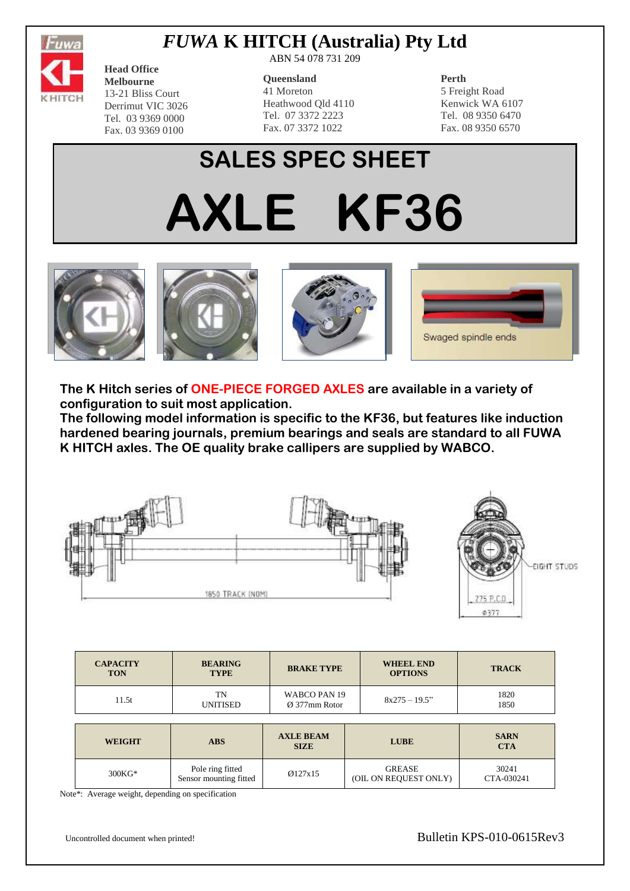

# *FUWA* **K HITCH (Australia) Pty Ltd**

**Head Office Melbourne** 13-21 Bliss Court Derrimut VIC 3026 Tel. 03 9369 0000 Fax. 03 9369 0100

ABN 54 078 731 209

#### **Queensland**

41 Moreton Heathwood Qld 4110 Tel. 07 3372 2223 Fax. 07 3372 1022

#### **Perth**

5 Freight Road Kenwick WA 6107 Tel. 08 9350 6470 Fax. 08 9350 6570

# **SALES SPEC SHEET AXLE KF36**









**The K Hitch series of ONE-PIECE FORGED AXLES are available in a variety of configuration to suit most application.**

**The following model information is specific to the KF36, but features like induction hardened bearing journals, premium bearings and seals are standard to all FUWA K HITCH axles. The OE quality brake callipers are supplied by WABCO.**



| <b>CAPACITY</b><br><b>TON</b> | <b>BEARING</b><br><b>TYPE</b>              | <b>BRAKE TYPE</b>                         | <b>WHEEL END</b><br><b>OPTIONS</b>     | <b>TRACK</b>              |  |
|-------------------------------|--------------------------------------------|-------------------------------------------|----------------------------------------|---------------------------|--|
| 11.5t                         | TN<br><b>UNITISED</b>                      | WABCO PAN 19<br>$\varnothing$ 377mm Rotor | $8x275 - 19.5$ "                       | 1820<br>1850              |  |
|                               |                                            |                                           |                                        |                           |  |
| <b>WEIGHT</b>                 | <b>ABS</b>                                 | <b>AXLE BEAM</b><br><b>SIZE</b>           | <b>LUBE</b>                            | <b>SARN</b><br><b>CTA</b> |  |
| $300KG*$                      | Pole ring fitted<br>Sensor mounting fitted | Ø127x15                                   | <b>GREASE</b><br>(OIL ON REQUEST ONLY) | 30241<br>CTA-030241       |  |

Note\*: Average weight, depending on specification

Uncontrolled document when printed! Bulletin KPS-010-0615Rev3